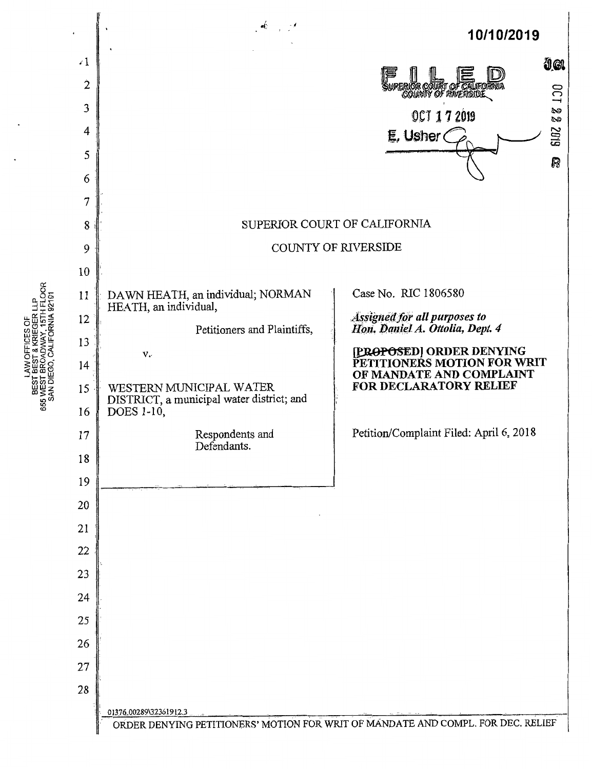

BEST & KRIEGER LLP<br>BROADWAY, 15TH FLOOR **CALIFOR** AW OFFIC SAN DIEGO, **BEST** 655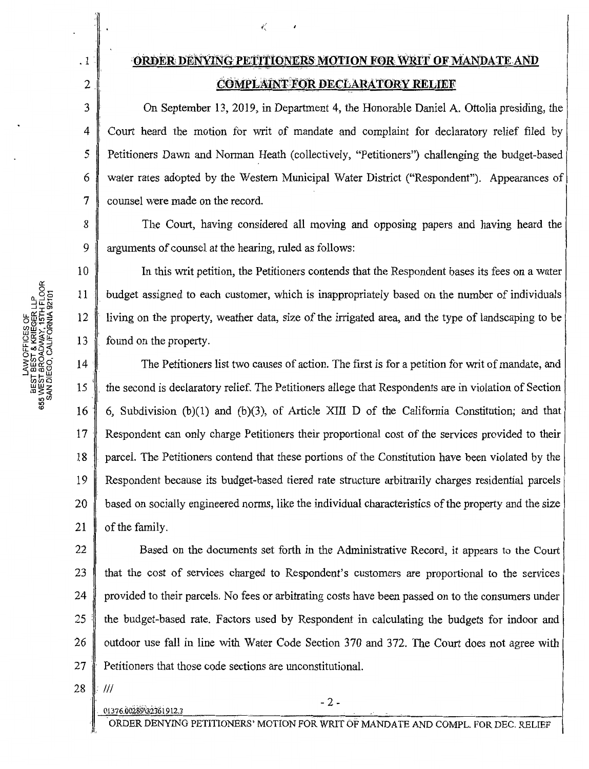. 1

2

3

4

5

6

7

10

## *ORDER DENYING PETITIONERS MOTION FOR WRIT OF MANDATE AND* **COMPLAINT FOR DECLARATORY RELIEF**

 $\tilde{\epsilon}$  (

On September 13, 2019, in Department 4, the Honorable Daniel A. Ottolia presiding, the Court heard the motion for writ of mandate and complaint for declaratory relief filed by Petitioners Dawn and Norman Heath (collectively, "Petitioners") challenging the budget-based water rates adopted by the Western Municipal Water District ("Respondent"). Appearances of counsel were made on the record.

8 9 The Court, having considered all moving and opposing papers and having heard the arguments of counsel at the hearing, ruled as follows:

In this writ petition, the Petitioners contends that the Respondent bases its fees on a water . budget assigned to each customer, which is inappropriately based on the number of individuals living on the property, weather data, size of the irrigated area, and the type of landscaping to be found on the property.

 $16$  $17$ 18 19 20 21 The Petitioners list two causes of action. The first is for a petition for writ of mandate, and the second is declaratory relief. The Petitioners allege that Respondents are in violation of Section 6, Subdivision  $(b)(1)$  and  $(b)(3)$ , of Article XIII D of the California Constitution; and that Respondent can only charge Petitioners their proportional cost of the services provided to their parcel. The Petitioners contend that these portions of the Constitution have been violated by the Respondent because its budget-based tiered rate structure arbitrarily charges residential parcels based on socially engineered norms, like the individual characteristics of the property and the size of the family.

22 23 24 25' 26 27 Based on the documents set forth in the Administrative Record, it appears to the Court that the cost of services charged to Respondent's customers are proportional to the services provided to their parcels. No fees or arbitrating costs have been passed on to the consumers under the budget-based rate. Factors used by Respondent in calculating the budgets for indoor and outdoor use fall in line with Water Code Section 370 and 372. The Court does not agree with Petitioners that those code sections are unconstitutional.

28 Ill

 $-2$  -<br>01376.00289\32361912.3

ORDER DENYING PETITIONERS' MOTION FOR WRIT OF MANDATE AND COMPL. FOR DEC. RELIEF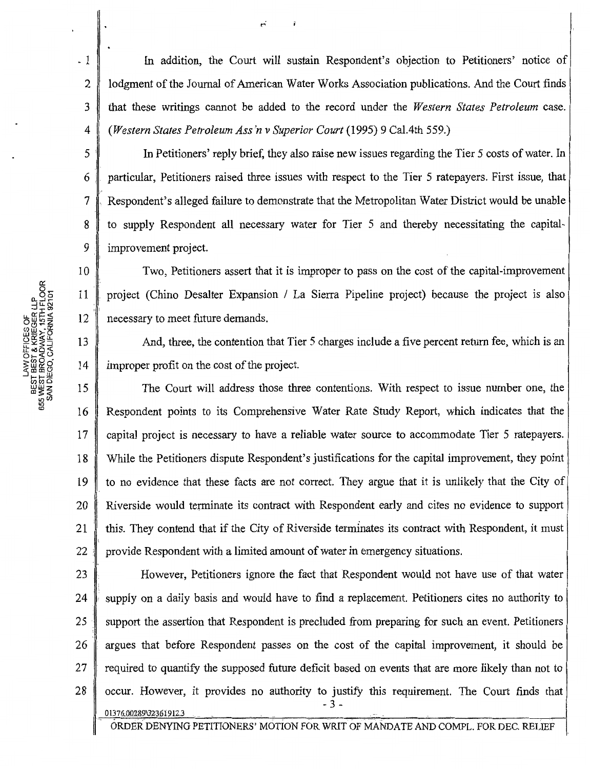In addition, the Court will sustain Respondent's objection to Petitioners' notice of lodgment of the Journal of American Water Works Association publications. And the Court finds that these writings cannot be added to the record under the *Western States Petroleum* case. *(Western States Petroleum Ass 'n v Superior Court* (1995) 9 Cal.4th 559.)

In Petitioners' reply brief, they also raise new issues regarding the Tier 5 costs of water. In particular, Petitioners raised three issues with respect to the Tier 5 ratepayers. First issue, that Respondent's alleged failure to demonstrate that the Metropolitan Water District would be unable to supply Respondent all necessary water for Tier 5 and thereby necessitating the capitalimprovement project.

Two, Petitioners assert that it is improper to pass on the cost of the capital-improvement project (Chino Desalter Expansion / La Sierra Pipeline project) because the project is also necessary to meet future demands.

And, three, the contention that Tier 5 charges include a five percent return fee, which is an improper profit on the cost of the project.

15 16 17 18 19 20 21 22; The Court will address those three contentions. With respect to issue number one, the Respondent points to its Comprehensive Water Rate Study Report, which indicates that the capital project is necessary to have a reliable water source to accommodate Tier 5 ratepayers. While the Petitioners dispute Respondent's justifications for the capital improvement, they point to no evidence that these facts are not correct. They argue that it is unlikely that the City of Riverside would terminate its contract with Respondent early and cites no evidence to support this. They contend that if the City of Riverside terminates its contract with Respondent, it must provide Respondent with a limited amount of water in emergency situations.

23 24 25 26 27 28 However, Petitioners ignore the fact that Respondent would not have use of that water supply on a daily basis and would have to find a replacement. Petitioners cites no authority to support the assertion that Respondent is precluded from preparing for such an event. Petitioners argues that before Respondent passes on the cost of the capital improvement, it should be required to quantify the supposed future deficit based on events that are more likely than not to occur. However, it provides no authority to justify this requirement. The Court finds that - 3 - 01376;00289\3236f912.3

ORDER DENYING PETITIONERS' MOTION FOR WRIT OF MANDATE AND COMPL. FOR DEC. RELIEF

. 1

2

3

4

5'

6,

7

8

9

10

11

12

13

14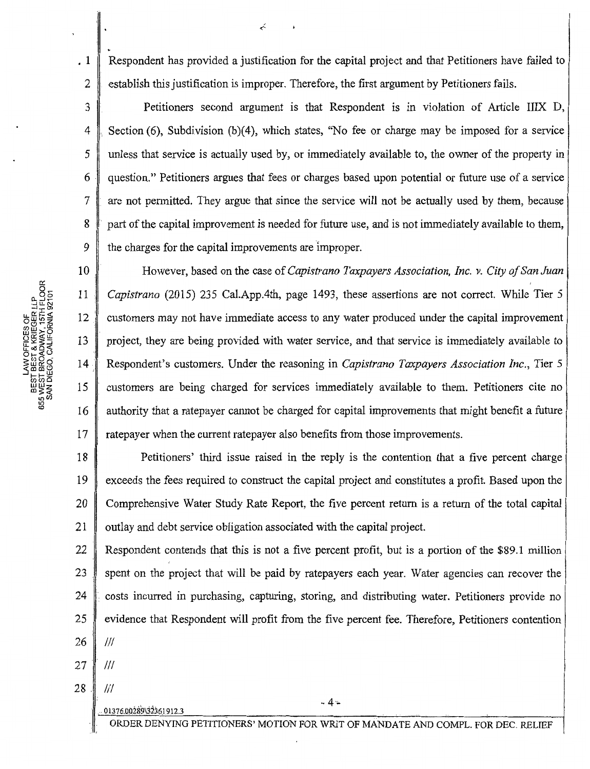Respondent has provided a justification for the capital project and that Petitioners have failed to establish this justification is improper. Therefore, the first argument by Petitioners fails.

 $\prec$ 

Petitioners second argument is that Respondent is in violation of Article IIIX D, Section (6), Subdivision (b)(4), which states, "No fee or charge may be imposed for a service unless that service is actually used by, or immediately available to, the owner of the property in question." Petitioners argues that fees or charges based upon potential or future use of a service are not permitted. They argue that since the service will not be actually used by them, because part of the capital improvement is needed for future use, and is not immediately available to them, the charges for the capital improvements are improper.

10 11 12 13 14 15 16 17 However, based on the case of *Capistrano Taxpayers Association, Inc. v. City of San Juan Capistrano* (2015) 235 Cal.App.4th, page 1493, these assertions are not correct. While Tier 5 customers may not have immediate access to any water produced under the capital improvement project, they are being provided with water service, and that service is immediately available to Respondent's customers. Under the reasoning in *Capistrano Taxpayers Association Inc.,* Tier 5 customers are being charged for services immediately available to them. Petitioners cite no authority that a ratepayer cannot be charged for capital improvements that might benefit a future ratepayer when the current ratepayer also benefits from those improvements.

18 19 20 21 Petitioners' third issue raised in the reply is the contention that a five percent charge exceeds the fees required to construct the capital project and constitutes a profit. Based upon the Comprehensive Water Study Rate Report, the five percent return is a return of the total capital outlay and debt service obligation associated with the capital project.

22 23 . 24 25 26 Respondent contends that this is not a five percent profit, but is a portion of the \$89.1 million spent on the project that will be paid by ratepayers each year. Water agencies can recover the costs incurred in purchasing, capturing, storing, and distributing water. Petitioners provide no evidence that Respondent will profit from the five percent fee. Therefore, Petitioners contention Ill  $27$  |  $11$ 

. ·· 01376.00289\3236] 912.3

 $-4.4$ 

ORDER DENYING PETITIONERS' MOTION FOR WRJT OF MANDATE AND COMPL. FOR DEC. RELIEF

. 1

2

3

4

5

6

7

8

9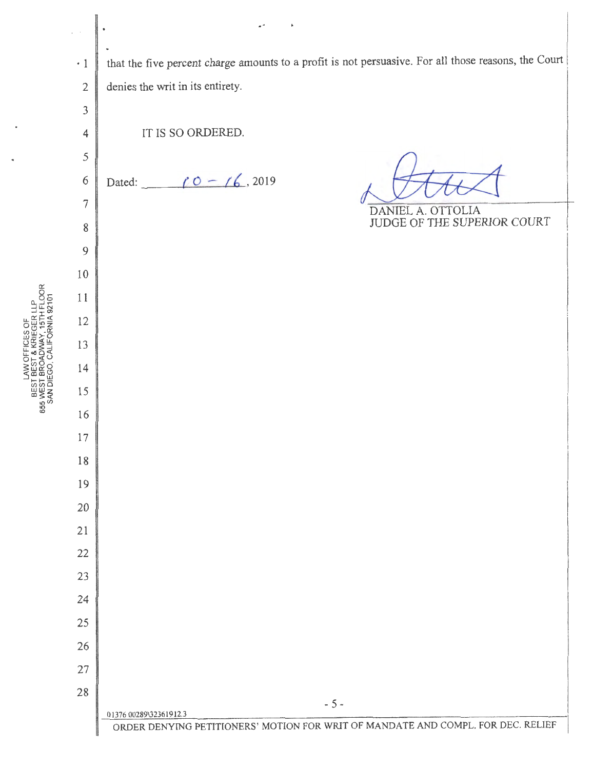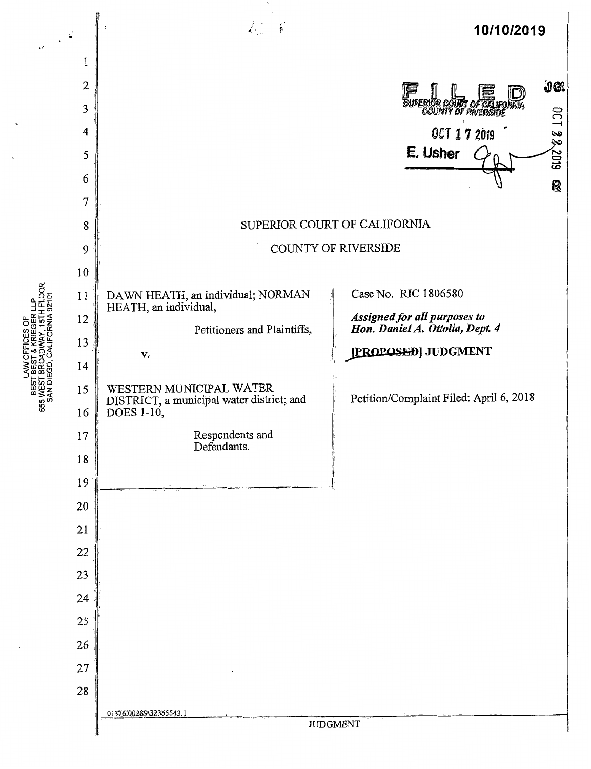

BEST BEST & KRIEGER LLP<br>655 WEST BROADWAY, 15TH FLOOR<br>SAN DIEGO, CALIFORNIA 92101